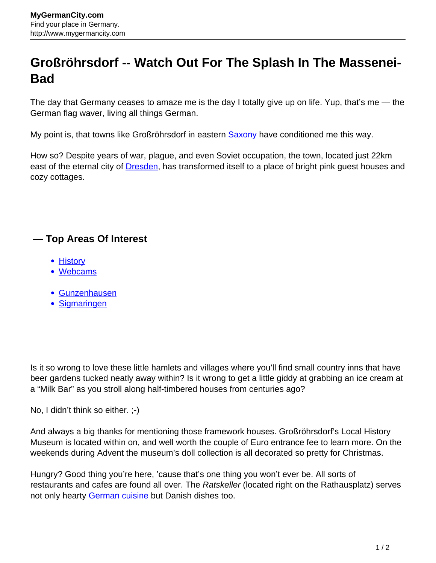## **Großröhrsdorf -- Watch Out For The Splash In The Massenei-Bad**

The day that Germany ceases to amaze me is the day I totally give up on life. Yup, that's me — the German flag waver, living all things German.

My point is, that towns like Großröhrsdorf in eastern **Saxony** have conditioned me this way.

How so? Despite years of war, plague, and even Soviet occupation, the town, located just 22km east of the eternal city of **Dresden**, has transformed itself to a place of bright pink guest houses and cozy cottages.

## **— Top Areas Of Interest**

- [History](http://www.mygermancity.com/leipzig-history)
- [Webcams](http://www.mygermancity.com/neustadt-holstein-webcams)
- [Gunzenhausen](http://www.mygermancity.com/gunzenhausen)
- [Sigmaringen](http://www.mygermancity.com/sigmaringen)

Is it so wrong to love these little hamlets and villages where you'll find small country inns that have beer gardens tucked neatly away within? Is it wrong to get a little giddy at grabbing an ice cream at a "Milk Bar" as you stroll along half-timbered houses from centuries ago?

No, I didn't think so either. ;-)

And always a big thanks for mentioning those framework houses. Großröhrsdorf's Local History Museum is located within on, and well worth the couple of Euro entrance fee to learn more. On the weekends during Advent the museum's doll collection is all decorated so pretty for Christmas.

Hungry? Good thing you're here, 'cause that's one thing you won't ever be. All sorts of restaurants and cafes are found all over. The Ratskeller (located right on the Rathausplatz) serves not only hearty [German cuisine](http://www.mygermancity.com/german-cuisine) but Danish dishes too.